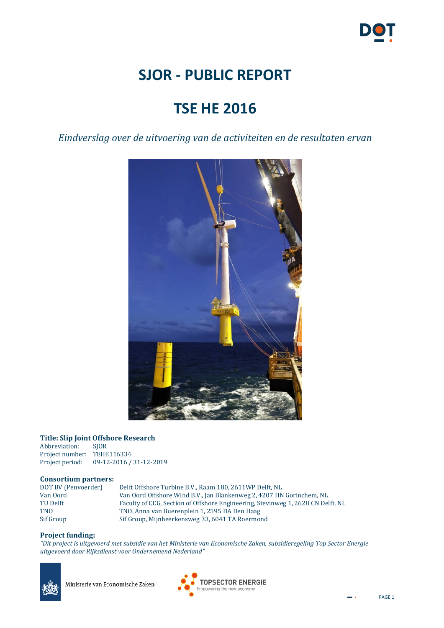

# **SJOR - PUBLIC REPORT**

# **TSE HE 2016**

*Eindverslag over de uitvoering van de activiteiten en de resultaten ervan*



## **Title: Slip Joint Offshore Research**

Abbreviation: Project number: TEHE116334 Project period: 09-12-2016 / 31-12-2019

#### **Consortium partners:**

| DOT BV (Penvoerder) | Delft Offshore Turbine B.V., Raam 180, 2611WP Delft, NL                         |
|---------------------|---------------------------------------------------------------------------------|
| Van Oord-           | Van Oord Offshore Wind B.V., Jan Blankenweg 2, 4207 HN Gorinchem, NL            |
| TU Delft            | Faculty of CEG, Section of Offshore Engineering, Stevinweg 1, 2628 CN Delft, NL |
| TNO                 | TNO, Anna van Buerenplein 1, 2595 DA Den Haag                                   |
| Sif Group           | Sif Group, Mijnheerkensweg 33, 6041 TA Roermond                                 |
|                     |                                                                                 |

#### **Project funding:**

*"Dit project is uitgevoerd met subsidie van het Ministerie van Economische Zaken, subsidieregeling Top Sector Energie uitgevoerd door Rijksdienst voor Ondernemend Nederland"*



Ministerie van Economische Zaken

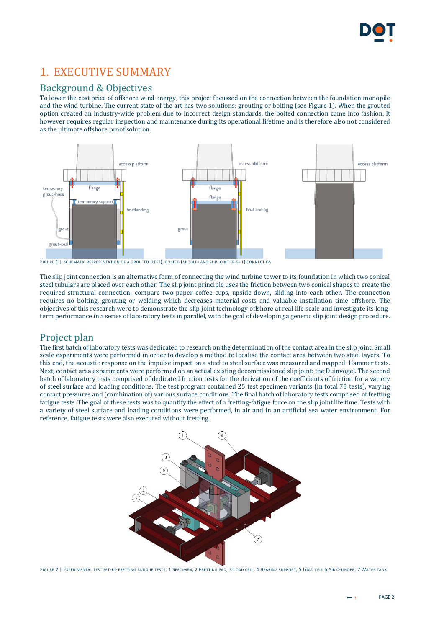

## 1. EXECUTIVE SUMMARY

## Background & Objectives

To lower the cost price of offshore wind energy, this project focussed on the connection between the foundation monopile and the wind turbine. The current state of the art has two solutions: grouting or bolting (se[e Figure 1\)](#page-1-0). When the grouted option created an industry-wide problem due to incorrect design standards, the bolted connection came into fashion. It however requires regular inspection and maintenance during its operational lifetime and is therefore also not considered as the ultimate offshore proof solution.



<span id="page-1-0"></span>FIGURE 1 | SCHEMATIC REPRESENTATION OF A GROUTED (LEFT), BOLTED (MIDDLE) AND SLIP JOINT (RIGHT) CONNECTION

The slip joint connection is an alternative form of connecting the wind turbine tower to its foundation in which two conical steel tubulars are placed over each other. The slip joint principle uses the friction between two conical shapes to create the required structural connection; compare two paper coffee cups, upside down, sliding into each other. The connection requires no bolting, grouting or welding which decreases material costs and valuable installation time offshore. The objectives of this research were to demonstrate the slip joint technology offshore at real life scale and investigate its longterm performance in a series of laboratory tests in parallel, with the goal of developing a generic slip joint design procedure.

### Project plan

The first batch of laboratory tests was dedicated to research on the determination of the contact area in the slip joint. Small scale experiments were performed in order to develop a method to localise the contact area between two steel layers. To this end, the acoustic response on the impulse impact on a steel to steel surface was measured and mapped: Hammer tests. Next, contact area experiments were performed on an actual existing decommissioned slip joint: the Duinvogel. The second batch of laboratory tests comprised of dedicated friction tests for the derivation of the coefficients of friction for a variety of steel surface and loading conditions. The test program contained 25 test specimen variants (in total 75 tests), varying contact pressures and (combination of) various surface conditions. The final batch of laboratory tests comprised of fretting fatigue tests. The goal of these tests was to quantify the effect of a fretting-fatigue force on the slip joint life time. Tests with a variety of steel surface and loading conditions were performed, in air and in an artificial sea water environment. For reference, fatigue tests were also executed without fretting.



FIGURE 2 | EXPERIMENTAL TEST SET-UP FRETTING FATIGUE TESTS: 1 SPECIMEN; 2 FRETTING PAD; 3 LOAD CELL; 4 BEARING SUPPORT; 5 LOAD CELL 6 AIR CYLINDER; 7 WATER TANK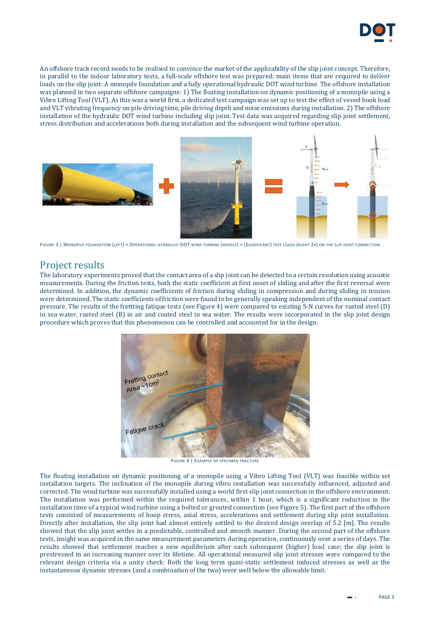

An offshore track record needs to be realised to convince the market of the applicability of the slip joint concept. Therefore, in parallel to the indoor laboratory tests, a full-scale offshore test was prepared; main items that are required to deliver loads on the slip joint: A monopile foundation and a fully operational hydraulic DOT wind turbine. The offshore installation was planned in two separate offshore campaigns: 1) The floating installation on dynamic positioning of a monopile using a Vibro Lifting Tool (VLT). As this was a world first, a dedicated test campaign was set up to test the effect of vessel hook load and VLT vibrating frequency on pile driving time, pile driving depth and noise emissions during installation. 2) The offshore installation of the hydraulic DOT wind turbine including slip joint. Test data was acquired regarding slip joint settlement, stress distribution and accelerations both during installation and the subsequent wind turbine operation.



FIGURE 3 | MONOPILE FOUNDATION (LEFT) + OPERATIONAL HYDRAULIC DOT WIND TURBINE (MIDDLE) = (SIGNIFICANT) TEST LOADS (RIGHT 2X) ON THE SLIP JOINT CONNECTION

## Project results

The laboratory experiments proved that the contact area of a slip joint can be detected to a certain resolution using acoustic measurements. During the friction tests, both the static coefficient at first onset of sliding and after the first reversal were determined. In addition, the dynamic coefficients of friction during sliding in compression and during sliding in tension were determined. The static coefficients of friction were found to be generally speaking independent of the nominal contact pressure. The results of the frettting fatique tests (se[e Figure 4\)](#page-2-0) were compared to existing S-N curves for rusted steel (D) in sea water, rusted steel (B) in air and coated steel in sea water. The results were incorporated in the slip joint design procedure which proves that this phenomenon can be controlled and accounted for in the design.



FIGURE 4 | EXAMPLE OF SPECIMEN FRACTURE

<span id="page-2-0"></span>The floating installation on dynamic positioning of a monopile using a Vibro Lifting Tool (VLT) was feasible within set installation targets. The inclination of the monopile during vibro installation was successfully influenced, adjusted and corrected. The wind turbine was successfully installed using a world first slip joint connection in the offshore environment. The installation was performed within the required tolerances, within 1 hour, which is a significant reduction in the installation time of a typical wind turbine using a bolted or grouted connection (se[e Figure 5\)](#page-3-0). The first part of the offshore tests consisted of measurements of hoop stress, axial stress, accelerations and settlement during slip joint installation. Directly after installation, the slip joint had almost entirely settled to the desired design overlap of 5.2 [m]. The results showed that the slip joint settles in a predictable, controlled and smooth manner. During the second part of the offshore tests, insight was acquired in the same measurement parameters during operation, continuously over a series of days. The results showed that settlement reaches a new equilibrium after each subsequent (higher) load case; the slip joint is prestressed in an increasing manner over its lifetime. All operational measured slip joint stresses were compared to the relevant design criteria via a unity check: Both the long term quasi-static settlement induced stresses as well as the instantaneous dynamic stresses (and a combination of the two) were well below the allowable limit.

PAGE 3